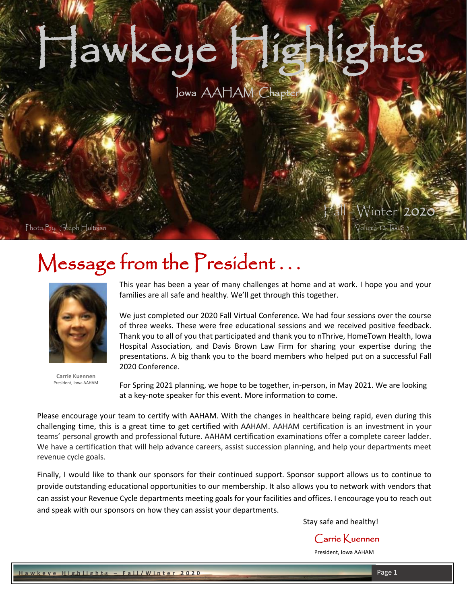# Hawkeye Highlights

## Iowa AAHAM Chapt

Photo By: Steph Hultman Volume 12, Issue

j

i i

# Message from the President...



**Carrie Kuennen** President, Iowa AAHAM

This year has been a year of many challenges at home and at work. I hope you and your families are all safe and healthy. We'll get through this together.

ļ

We just completed our 2020 Fall Virtual Conference. We had four sessions over the course of three weeks. These were free educational sessions and we received positive feedback. Thank you to all of you that participated and thank you to nThrive, HomeTown Health, Iowa Hospital Association, and Davis Brown Law Firm for sharing your expertise during the presentations. A big thank you to the board members who helped put on a successful Fall 2020 Conference.

For Spring 2021 planning, we hope to be together, in-person, in May 2021. We are looking at a key-note speaker for this event. More information to come.

Please encourage your team to certify with AAHAM. With the changes in healthcare being rapid, even during this challenging time, this is a great time to get certified with AAHAM. AAHAM certification is an investment in your teams' personal growth and professional future. AAHAM certification examinations offer a complete career ladder. We have a certification that will help advance careers, assist succession planning, and help your departments meet revenue cycle goals.

Finally, I would like to thank our sponsors for their continued support. Sponsor support allows us to continue to provide outstanding educational opportunities to our membership. It also allows you to network with vendors that can assist your Revenue Cycle departments meeting goals for your facilities and offices. I encourage you to reach out and speak with our sponsors on how they can assist your departments.

Stay safe and healthy!

Carrie Kuennen

President, Iowa AAHAM

Fall - Winter 2020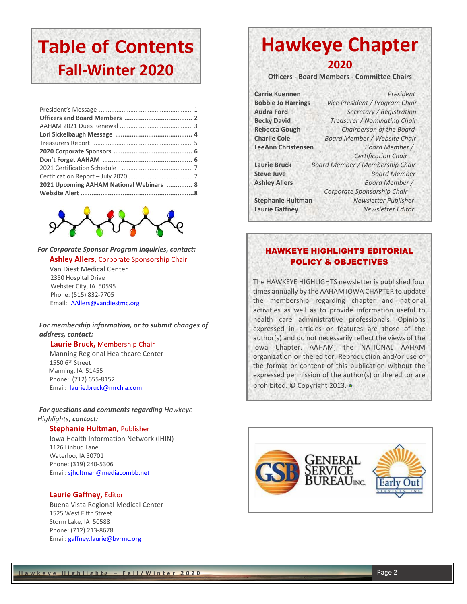## **Table of Contents Fall-Winter 2020**

| 2021 Upcoming AAHAM National Webinars  8 |  |
|------------------------------------------|--|
|                                          |  |
|                                          |  |



#### *For Corporate Sponsor Program inquiries, contact:* **Ashley Allers**, Corporate Sponsorship Chair

Van Diest Medical Center 2350 Hospital Drive Webster City, IA 50595 Phone: (515) 832-7705 Email: [AAllers@vandiestmc.org](mailto:AAllers@vandiestmc.org)

## *For membership information, or to submit changes of address, contact:*

 **Laurie Bruck,** Membership Chair

Manning Regional Healthcare Center 1550 6th Street Manning, IA 51455 Phone: (712) 655-8152 Email: [laurie.bruck@mrchia.com](mailto:laurie.bruck@mrchia.com)

*For questions and comments regarding Hawkeye Highlights*, *contact:*

#### **Stephanie Hultman,** Publisher

Iowa Health Information Network (IHIN) 1126 Linbud Lane Waterloo, IA 50701 Phone: (319) 240-5306 Email: [sjhultman@mediacombb.net](mailto:sjhultman@mediacombb.net) 

### **Laurie Gaffney,** Editor

 Buena Vista Regional Medical Center 1525 West Fifth Street Storm Lake, IA 50588 Phone: (712) 213-8678 Email: [gaffney.laurie@bvrmc.org](mailto:gaffney.laurie@bvrmc.org)

## **Hawkeye Chapter**

**2020**

**Officers - Board Members - Committee Chairs**

**Carrie Kuennen** *President* **Bobbie Jo Harrings** *Vice President / Program Chair* **Audra Ford** *Secretary / Registration* **Becky David** *Treasurer / Nominating Chair* **Rebecca Gough** *Chairperson of the Board* **Charlie Cole** *Board Member / Website Chair* **LeeAnn Christensen** *Board Member / Certification Chair* **Laurie Bruck** *Board Member / Membership Chair* **Steve Juve** *Board Member*  **Ashley Allers** *Board Member / Corporate Sponsorship Chair* **Stephanie Hultman** *Newsletter Publisher* **Laurie Gaffney** *Newsletter Editor*

## HAWKEYE HIGHLIGHTS EDITORIAL POLICY & OBJECTIVES

The HAWKEYE HIGHLIGHTS newsletter is published four times annually by the AAHAM IOWA CHAPTER to update the membership regarding chapter and national activities as well as to provide information useful to health care administrative professionals. Opinions expressed in articles or features are those of the author(s) and do not necessarily reflect the views of the Iowa Chapter. AAHAM, the NATIONAL AAHAM organization or the editor. Reproduction and/or use of the format or content of this publication without the expressed permission of the author(s) or the editor are prohibited. © Copyright 2013. ●

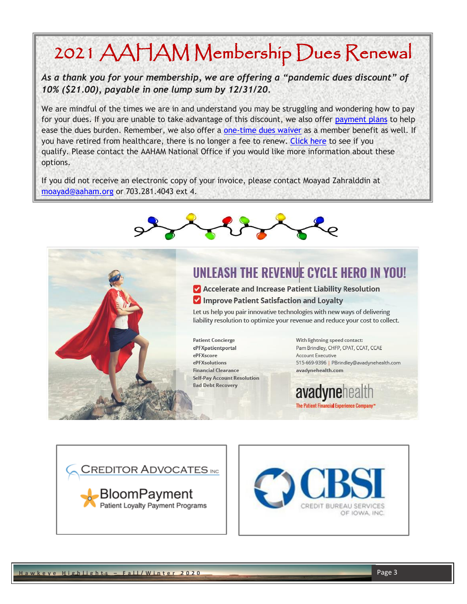# 2021 AAHAM Membership Dues Renewal

 *As a thank you for your membership, we are offering a "pandemic dues discount" of 10% (\$21.00), payable in one lump sum by 12/31/20.* 

We are mindful of the times we are in and understand you may be struggling and wondering how to pay<br>for your dues. If you are unable to take advantage of this discount, we also offer <u>payment plans</u> to help you have retired from healthcare, there is no longer a fee to renew. <u>Click here</u> to see if you<br>qualify. Please contact the AAHAM National Office if you would like more information about these We are mindful of the times we are in and understand you may be struggling and wondering how to pay ease the dues burden. Remember, we also offer a [one-time dues waiver](http://r20.rs6.net/tn.jsp?f=001hiVnHQJagJukEu0owFMWJLC8R5bcdZpZ3MoCY5Ep6lEMyM_WB7oQJ3Ifz3MdmnjmUALgrCrLltCVag02Ctrl1rlXHG5mBvMUOGEI7KKd5fm3Zrxq-wgunklHihIRXjNN31AdHwkU-ziIa58VCYgdAdA2Nrdu993Pavm8g5DkO30=&c=4Cu5bWmd6ofi-A13ZIS9CC6YBT_l4Wb_F4FWK2gI65nY9K_q5D3-hw==&ch=gbMrkEydnnQSlvyoe2Aj6WCpYa_j1Jv1x8LMD3Fs_vVK-7HKGR85wA==) as a member benefit as well. If you have retired from healthcare, there is no longer a fee to renew. [Click here](http://r20.rs6.net/tn.jsp?f=001hiVnHQJagJukEu0owFMWJLC8R5bcdZpZ3MoCY5Ep6lEMyM_WB7oQJ_HzolgtLAtgS7ivOnvZAkVxWI_OCFPcSYRxt0pNZtroVfHymJWu1RdZaBiaHM5F1BYkfmziy1rEHxBpfkqVZHuqeqqb7y5vUXuxj4tKtN8MxCm6pqoY_rEU5TvsbTYEEeLJ___2W4Tk6_QjDYncatPytRMxVwjOroE4Wzjta028&c=4Cu5bWmd6ofi-A13ZIS9CC6YBT_l4Wb_F4FWK2gI65nY9K_q5D3-hw==&ch=gbMrkEydnnQSlvyoe2Aj6WCpYa_j1Jv1x8LMD3Fs_vVK-7HKGR85wA==) to see if you options.

If you did not receive an electronic copy of your invoice, please contact Moayad Zahralddin at<br>moayad@aaham.org or 703.281.4043 ext 4. [moayad@aaham.org](mailto:moayad@aaham.org) or 703.281.4043 ext 4.



Ī





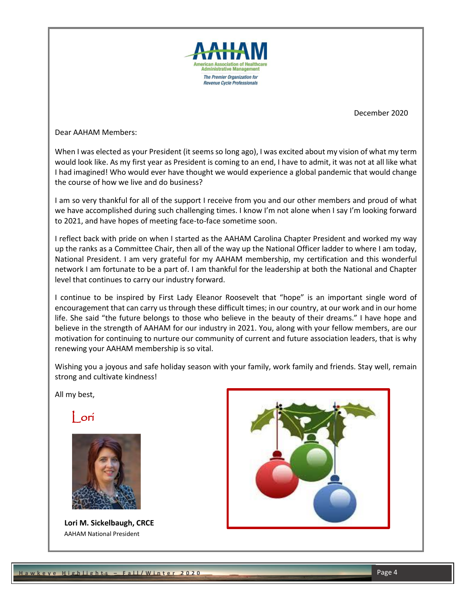

December 2020

Dear AAHAM Members:

When I was elected as your President (it seems so long ago), I was excited about my vision of what my term would look like. As my first year as President is coming to an end, I have to admit, it was not at all like what I had imagined! Who would ever have thought we would experience a global pandemic that would change the course of how we live and do business?

I am so very thankful for all of the support I receive from you and our other members and proud of what we have accomplished during such challenging times. I know I'm not alone when I say I'm looking forward to 2021, and have hopes of meeting face-to-face sometime soon.

I reflect back with pride on when I started as the AAHAM Carolina Chapter President and worked my way up the ranks as a Committee Chair, then all of the way up the National Officer ladder to where I am today, National President. I am very grateful for my AAHAM membership, my certification and this wonderful network I am fortunate to be a part of. I am thankful for the leadership at both the National and Chapter level that continues to carry our industry forward.

I continue to be inspired by First Lady Eleanor Roosevelt that "hope" is an important single word of encouragement that can carry us through these difficult times; in our country, at our work and in our home life. She said "the future belongs to those who believe in the beauty of their dreams." I have hope and believe in the strength of AAHAM for our industry in 2021. You, along with your fellow members, are our motivation for continuing to nurture our community of current and future association leaders, that is why renewing your AAHAM membership is so vital.

Wishing you a joyous and safe holiday season with your family, work family and friends. Stay well, remain strong and cultivate kindness!

All my best,

ori



 **Lori M. Sickelbaugh, CRCE** AAHAM National President

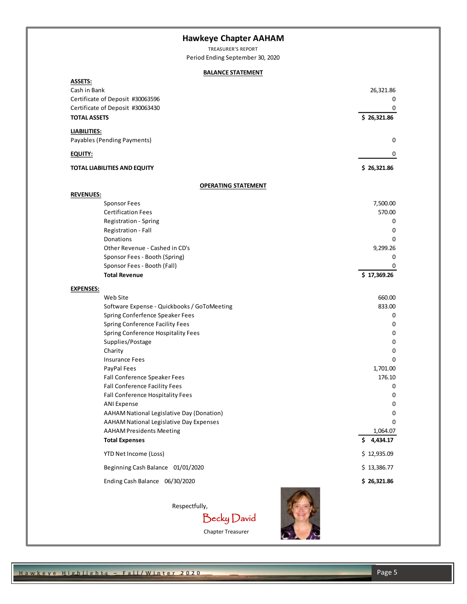## **Hawkeye Chapter AAHAM**

TREASURER'S REPORT Period Ending September 30, 2020

### **BALANCE STATEMENT**

| <b>ASSETS:</b>                                           |                            |
|----------------------------------------------------------|----------------------------|
| Cash in Bank                                             | 26,321.86                  |
| Certificate of Deposit #30063596                         | 0<br>0                     |
| Certificate of Deposit #30063430<br><b>TOTAL ASSETS</b>  | \$26,321.86                |
| <b>LIABILITIES:</b>                                      |                            |
| Payables (Pending Payments)                              | 0                          |
| EQUITY:                                                  | 0                          |
| <b>TOTAL LIABILITIES AND EQUITY</b>                      | \$26,321.86                |
| <b>OPERATING STATEMENT</b>                               |                            |
| <b>REVENUES:</b>                                         |                            |
| <b>Sponsor Fees</b>                                      | 7,500.00                   |
| <b>Certification Fees</b>                                | 570.00                     |
| Registration - Spring                                    | 0                          |
| Registration - Fall                                      | 0                          |
| Donations                                                | 0                          |
| Other Revenue - Cashed in CD's                           | 9,299.26                   |
| Sponsor Fees - Booth (Spring)                            | 0                          |
| Sponsor Fees - Booth (Fall)                              | 0                          |
| <b>Total Revenue</b>                                     | \$17,369.26                |
| <b>EXPENSES:</b>                                         |                            |
| Web Site                                                 | 660.00                     |
| Software Expense - Quickbooks / GoToMeeting              | 833.00                     |
| Spring Conferfence Speaker Fees                          | 0                          |
| Spring Conference Facility Fees                          | 0                          |
| Spring Conference Hospitality Fees                       | 0                          |
| Supplies/Postage                                         | 0                          |
| Charity                                                  | 0                          |
| <b>Insurance Fees</b>                                    | 0                          |
| PayPal Fees                                              | 1,701.00                   |
| Fall Conference Speaker Fees                             | 176.10                     |
| Fall Conference Facility Fees                            | 0                          |
| Fall Conference Hospitality Fees                         | 0                          |
| <b>ANI Expense</b>                                       | 0                          |
| AAHAM National Legislative Day (Donation)                | 0                          |
| <b>AAHAM National Legislative Day Expenses</b>           | 0                          |
| <b>AAHAM Presidents Meeting</b><br><b>Total Expenses</b> | 1,064.07<br>4,434.17<br>\$ |
| YTD Net Income (Loss)                                    | \$12,935.09                |
| Beginning Cash Balance 01/01/2020                        | \$13,386.77                |
| Ending Cash Balance 06/30/2020                           | \$26,321.86                |
|                                                          |                            |
| Respectfully,                                            |                            |
| Becky David                                              |                            |
| Chapter Treasurer                                        |                            |
|                                                          |                            |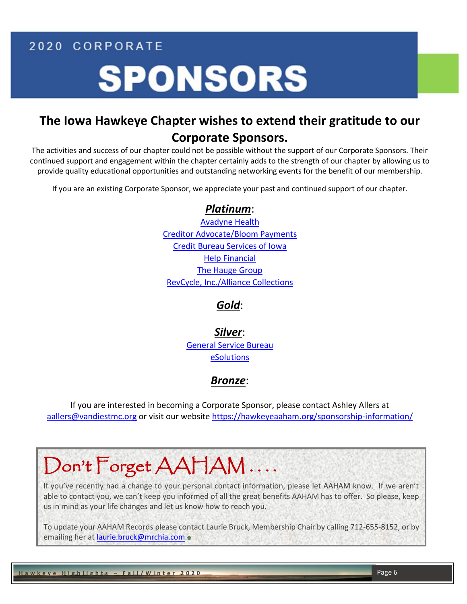2020 CORPORATE

# **SPONSORS**

## **The Iowa Hawkeye Chapter wishes to extend their gratitude to our Corporate Sponsors.**

The activities and success of our chapter could not be possible without the support of our Corporate Sponsors. Their continued support and engagement within the chapter certainly adds to the strength of our chapter by allowing us to provide quality educational opportunities and outstanding networking events for the benefit of our membership.

If you are an existing Corporate Sponsor, we appreciate your past and continued support of our chapter.

## *Platinum*:

[Avadyne Health](http://www.avadynehealth.com/) Creditor Advocate/Bloom Payments Credit Bureau Services of Iowa Help Financial [The Hauge Group](http://www.thehaugegroup.com/) [RevCycle, Inc./](http://www.revcycle.com/)Alliance Collections

## *Gold*:

*Silver*: [General Service Bureau](http://www.gsbcollect.com/) eSolutions

## *Bronze*:

If you are interested in becoming a Corporate Sponsor, please contact Ashley Allers at [aallers@vandiestmc.org](mailto:aallers@vandiestmc.org) or visit our website<https://hawkeyeaaham.org/sponsorship-information/>

# Don't Forget AAHAM ....

If you've recently had a change to your personal contact information, please let AAHAM know. If we aren't able to contact you, we can't keep you informed of all the great benefits AAHAM has to offer. So please, keep us in mind as your life changes and let us know how to reach you.

To update your AAHAM Records please contact Laurie Bruck, Membership Chair by calling 712-655-8152, or by emailing her at [laurie.bruck@mrchia.com.](mailto:laurie.bruck@mrchia.com)

i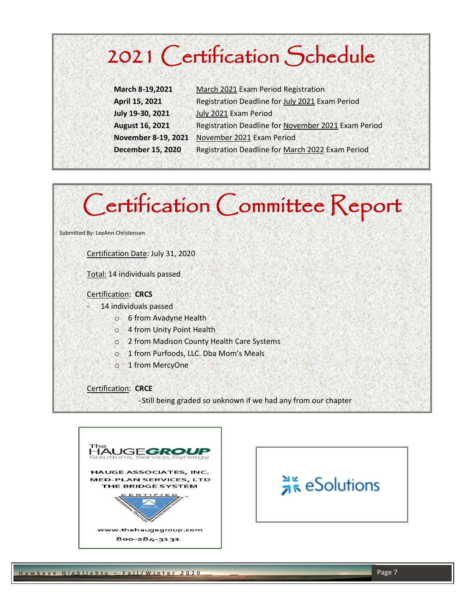# 2021 Certification Schedule

| March 8-19,2021          | March 2021 Exam Period Registration                 |
|--------------------------|-----------------------------------------------------|
| April 15, 2021           | Registration Deadline for July 2021 Exam Period     |
| July 19-30, 2021         | July 2021 Exam Period                               |
| <b>August 16, 2021</b>   | Registration Deadline for November 2021 Exam Period |
| November 8-19, 2021      | November 2021 Exam Period                           |
| <b>December 15, 2020</b> | Registration Deadline for March 2022 Exam Period    |

# Certification Committee Report

Submitted By: LeeAnn Christensen

Certification Date: July 31, 2020

Total: 14 individuals passed

#### Certification: **CRCS**

14 individuals passed

- o 6 from Avadyne Health
- o 4 from Unity Point Health
- o 2 from Madison County Health Care Systems
- o 1 from Purfoods, LLC. Dba Mom's Meals
- o 1 from MercyOne

Certification: **CRCE**

-Still being graded so unknown if we had any from our chapter